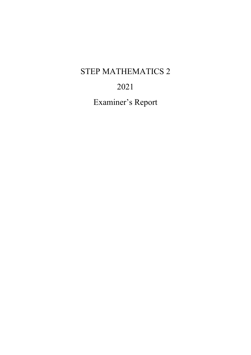# STEP MATHEMATICS 2

## 2021

Examiner's Report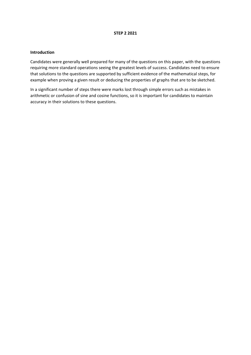#### **STEP 2 2021**

#### **Introduction**

Candidates were generally well prepared for many of the questions on this paper, with the questions requiring more standard operations seeing the greatest levels of success. Candidates need to ensure that solutions to the questions are supported by sufficient evidence of the mathematical steps, for example when proving a given result or deducing the properties of graphs that are to be sketched.

In a significant number of steps there were marks lost through simple errors such as mistakes in arithmetic or confusion of sine and cosine functions, so it is important for candidates to maintain accuracy in their solutions to these questions.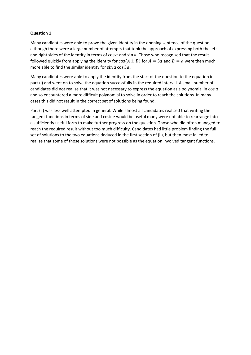Many candidates were able to prove the given identity in the opening sentence of the question, although there were a large number of attempts that took the approach of expressing both the left and right sides of the identity in terms of  $\cos a$  and  $\sin a$ . Those who recognised that the result followed quickly from applying the identity for  $\cos(A \pm B)$  for  $A = 3a$  and  $B = a$  were then much more able to find the similar identity for  $sin a cos 3a$ .

Many candidates were able to apply the identity from the start of the question to the equation in part (i) and went on to solve the equation successfully in the required interval. A small number of candidates did not realise that it was not necessary to express the equation as a polynomial in  $\cos a$ and so encountered a more difficult polynomial to solve in order to reach the solutions. In many cases this did not result in the correct set of solutions being found.

Part (ii) was less well attempted in general. While almost all candidates realised that writing the tangent functions in terms of sine and cosine would be useful many were not able to rearrange into a sufficiently useful form to make further progress on the question. Those who did often managed to reach the required result without too much difficulty. Candidates had little problem finding the full set of solutions to the two equations deduced in the first section of (ii), but then most failed to realise that some of those solutions were not possible as the equation involved tangent functions.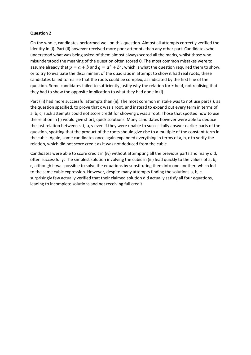On the whole, candidates performed well on this question. Almost all attempts correctly verified the identity in (i). Part (ii) however received more poor attempts than any other part. Candidates who understood what was being asked of them almost always scored all the marks, whilst those who misunderstood the meaning of the question often scored 0. The most common mistakes were to assume already that  $p = a + b$  and  $q = a^2 + b^2$ , which is what the question required them to show, or to try to evaluate the discriminant of the quadratic in attempt to show it had real roots; these candidates failed to realise that the roots could be complex, as indicated by the first line of the question. Some candidates failed to sufficiently justify why the relation for  $r$  held, not realising that they had to show the opposite implication to what they had done in (i).

Part (iii) had more successful attempts than (ii). The most common mistake was to not use part (i), as the question specified, to prove that c was a root, and instead to expand out every term in terms of a, b, c; such attempts could not score credit for showing c was a root. Those that spotted how to use the relation in (i) would give short, quick solutions. Many candidates however were able to deduce the last relation between s, t, u, v even if they were unable to successfully answer earlier parts of the question, spotting that the product of the roots should give rise to a multiple of the constant term in the cubic. Again, some candidates once again expanded everything in terms of a, b, c to verify the relation, which did not score credit as it was not deduced from the cubic.

Candidates were able to score credit in (iv) without attempting all the previous parts and many did, often successfully. The simplest solution involving the cubic in (iii) lead quickly to the values of a, b, c, although it was possible to solve the equations by substituting them into one another, which led to the same cubic expression. However, despite many attempts finding the solutions a, b, c, surprisingly few actually verified that their claimed solution did actually satisfy all four equations, leading to incomplete solutions and not receiving full credit.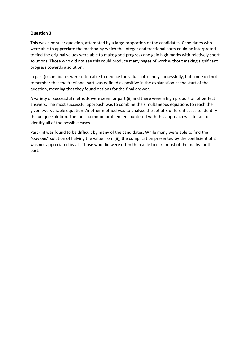This was a popular question, attempted by a large proportion of the candidates. Candidates who were able to appreciate the method by which the integer and fractional parts could be interpreted to find the original values were able to make good progress and gain high marks with relatively short solutions. Those who did not see this could produce many pages of work without making significant progress towards a solution.

In part (i) candidates were often able to deduce the values of x and y successfully, but some did not remember that the fractional part was defined as positive in the explanation at the start of the question, meaning that they found options for the final answer.

A variety of successful methods were seen for part (ii) and there were a high proportion of perfect answers. The most successful approach was to combine the simultaneous equations to reach the given two-variable equation. Another method was to analyse the set of 8 different cases to identify the unique solution. The most common problem encountered with this approach was to fail to identify all of the possible cases.

Part (iii) was found to be difficult by many of the candidates. While many were able to find the "obvious" solution of halving the value from (ii), the complication presented by the coefficient of 2 was not appreciated by all. Those who did were often then able to earn most of the marks for this part.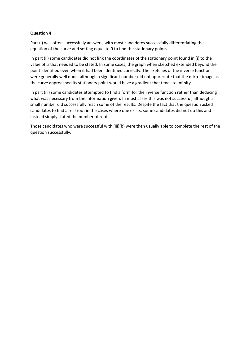Part (i) was often successfully answers, with most candidates successfully differentiating the equation of the curve and setting equal to 0 to find the stationary points.

In part (ii) some candidates did not link the coordinates of the stationary point found in (i) to the value of  $a$  that needed to be stated. In some cases, the graph when sketched extended beyond the point identified even when it had been identified correctly. The sketches of the inverse function were generally well done, although a significant number did not appreciate that the mirror image as the curve approached its stationary point would have a gradient that tends to infinity.

In part (iii) some candidates attempted to find a form for the inverse function rather than deducing what was necessary from the information given. In most cases this was not successful, although a small number did successfully reach some of the results. Despite the fact that the question asked candidates to find a real root in the cases where one exists, some candidates did not do this and instead simply stated the number of roots.

Those candidates who were successful with (iii)(b) were then usually able to complete the rest of the question successfully.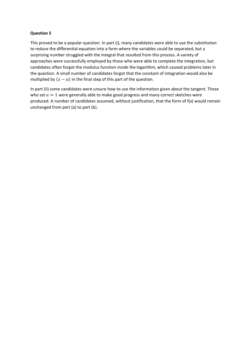This proved to be a popular question. In part (i), many candidates were able to use the substitution to reduce the differential equation into a form where the variables could be separated, but a surprising number struggled with the integral that resulted from this process. A variety of approaches were successfully employed by those who were able to complete the integration, but candidates often forgot the modulus function inside the logarithm, which caused problems later in the question. A small number of candidates forgot that the constant of integration would also be multiplied by  $(x - a)$  in the final step of this part of the question.

In part (ii) some candidates were unsure how to use the information given about the tangent. Those who set  $a = 1$  were generally able to make good progress and many correct sketches were produced. A number of candidates assumed, without justification, that the form of f(x) would remain unchanged from part (a) to part (b).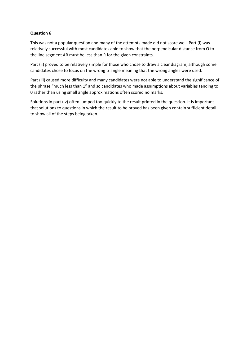This was not a popular question and many of the attempts made did not score well. Part (i) was relatively successful with most candidates able to show that the perpendicular distance from O to the line segment AB must be less than R for the given constraints.

Part (ii) proved to be relatively simple for those who chose to draw a clear diagram, although some candidates chose to focus on the wrong triangle meaning that the wrong angles were used.

Part (iii) caused more difficulty and many candidates were not able to understand the significance of the phrase "much less than 1" and so candidates who made assumptions about variables tending to 0 rather than using small angle approximations often scored no marks.

Solutions in part (iv) often jumped too quickly to the result printed in the question. It is important that solutions to questions in which the result to be proved has been given contain sufficient detail to show all of the steps being taken.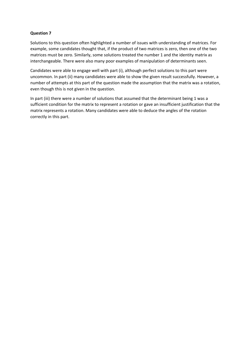Solutions to this question often highlighted a number of issues with understanding of matrices. For example, some candidates thought that, if the product of two matrices is zero, then one of the two matrices must be zero. Similarly, some solutions treated the number 1 and the identity matrix as interchangeable. There were also many poor examples of manipulation of determinants seen.

Candidates were able to engage well with part (i), although perfect solutions to this part were uncommon. In part (ii) many candidates were able to show the given result successfully. However, a number of attempts at this part of the question made the assumption that the matrix was a rotation, even though this is not given in the question.

In part (iii) there were a number of solutions that assumed that the determinant being 1 was a sufficient condition for the matrix to represent a rotation or gave an insufficient justification that the matrix represents a rotation. Many candidates were able to deduce the angles of the rotation correctly in this part.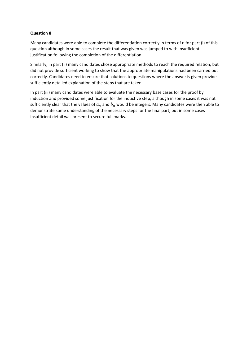Many candidates were able to complete the differentiation correctly in terms of n for part (i) of this question although in some cases the result that was given was jumped to with insufficient justification following the completion of the differentiation.

Similarly, in part (ii) many candidates chose appropriate methods to reach the required relation, but did not provide sufficient working to show that the appropriate manipulations had been carried out correctly. Candidates need to ensure that solutions to questions where the answer is given provide sufficiently detailed explanation of the steps that are taken.

In part (iii) many candidates were able to evaluate the necessary base cases for the proof by induction and provided some justification for the inductive step, although in some cases it was not sufficiently clear that the values of  $a_n$  and  $b_n$  would be integers. Many candidates were then able to demonstrate some understanding of the necessary steps for the final part, but in some cases insufficient detail was present to secure full marks.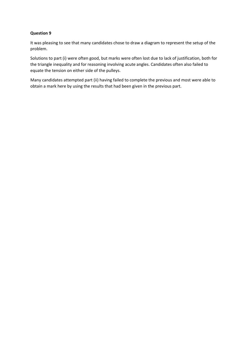It was pleasing to see that many candidates chose to draw a diagram to represent the setup of the problem.

Solutions to part (i) were often good, but marks were often lost due to lack of justification, both for the triangle inequality and for reasoning involving acute angles. Candidates often also failed to equate the tension on either side of the pulleys.

Many candidates attempted part (ii) having failed to complete the previous and most were able to obtain a mark here by using the results that had been given in the previous part.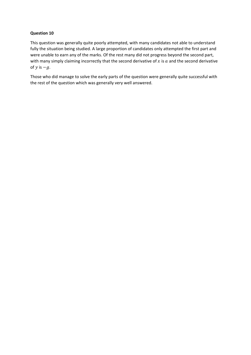This question was generally quite poorly attempted, with many candidates not able to understand fully the situation being studied. A large proportion of candidates only attempted the first part and were unable to earn any of the marks. Of the rest many did not progress beyond the second part, with many simply claiming incorrectly that the second derivative of  $x$  is  $a$  and the second derivative of  $y$  is  $-g$ .

Those who did manage to solve the early parts of the question were generally quite successful with the rest of the question which was generally very well answered.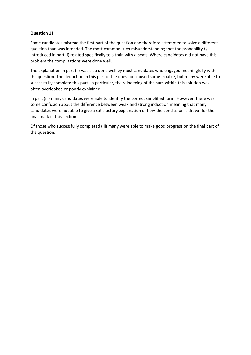Some candidates misread the first part of the question and therefore attempted to solve a different question than was intended. The most common such misunderstanding that the probability  $P_n$ introduced in part (i) related specifically to a train with  $n$  seats. Where candidates did not have this problem the computations were done well.

The explanation in part (ii) was also done well by most candidates who engaged meaningfully with the question. The deduction in this part of the question caused some trouble, but many were able to successfully complete this part. In particular, the reindexing of the sum within this solution was often overlooked or poorly explained.

In part (iii) many candidates were able to identify the correct simplified form. However, there was some confusion about the difference between weak and strong induction meaning that many candidates were not able to give a satisfactory explanation of how the conclusion is drawn for the final mark in this section.

Of those who successfully completed (iii) many were able to make good progress on the final part of the question.